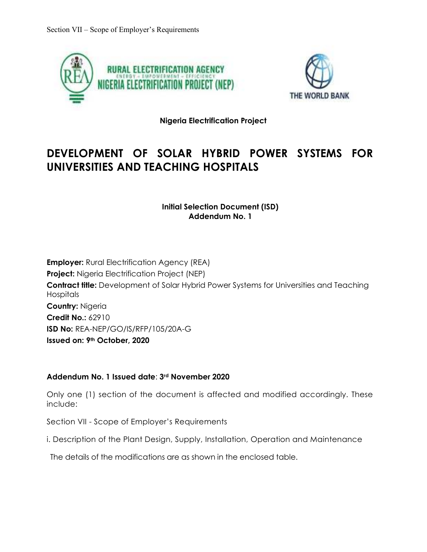



**Nigeria Electrification Project** 

## **DEVELOPMENT OF SOLAR HYBRID POWER SYSTEMS FOR UNIVERSITIES AND TEACHING HOSPITALS**

**Initial Selection Document (ISD) Addendum No. 1** 

**Employer:** Rural Electrification Agency (REA) **Project:** Nigeria Electrification Project (NEP) **Contract title:** Development of Solar Hybrid Power Systems for Universities and Teaching Hospitals **Country:** Nigeria **Credit No.:** 62910 **ISD No:** REA-NEP/GO/IS/RFP/105/20A-G **Issued on: 9th October, 2020**

## **Addendum No. 1 Issued date**: **3rd November 2020**

Only one (1) section of the document is affected and modified accordingly. These include:

Section VII - Scope of Employer's Requirements

i. Description of the Plant Design, Supply, Installation, Operation and Maintenance

The details of the modifications are as shown in the enclosed table.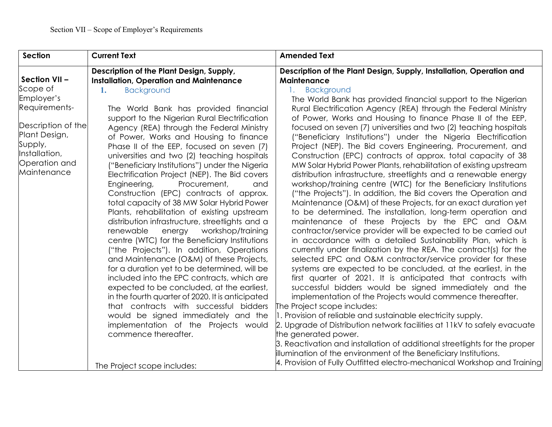| <b>Section</b>     | <b>Current Text</b>                                                                        | <b>Amended Text</b>                                                                                                         |
|--------------------|--------------------------------------------------------------------------------------------|-----------------------------------------------------------------------------------------------------------------------------|
| Section VII-       | Description of the Plant Design, Supply,<br><b>Installation, Operation and Maintenance</b> | Description of the Plant Design, Supply, Installation, Operation and<br>Maintenance                                         |
| Scope of           | <b>Background</b><br>1.                                                                    | <b>Background</b><br>1.                                                                                                     |
| Employer's         |                                                                                            | The World Bank has provided financial support to the Nigerian                                                               |
| Requirements-      | The World Bank has provided financial                                                      | Rural Electrification Agency (REA) through the Federal Ministry                                                             |
| Description of the | support to the Nigerian Rural Electrification                                              | of Power, Works and Housing to finance Phase II of the EEP,                                                                 |
| Plant Design,      | Agency (REA) through the Federal Ministry                                                  | focused on seven (7) universities and two (2) teaching hospitals                                                            |
| Supply,            | of Power, Works and Housing to finance                                                     | ("Beneficiary Institutions") under the Nigeria Electrification                                                              |
| Installation,      | Phase II of the EEP, focused on seven (7)<br>universities and two (2) teaching hospitals   | Project (NEP). The Bid covers Engineering, Procurement, and<br>Construction (EPC) contracts of approx. total capacity of 38 |
| Operation and      | ("Beneficiary Institutions") under the Nigeria                                             | MW Solar Hybrid Power Plants, rehabilitation of existing upstream                                                           |
| Maintenance        | Electrification Project (NEP). The Bid covers                                              | distribution infrastructure, streetlights and a renewable energy                                                            |
|                    | Procurement,<br>Engineering,<br>and                                                        | workshop/training centre (WTC) for the Beneficiary Institutions                                                             |
|                    | Construction (EPC) contracts of approx.                                                    | ("the Projects"). In addition, the Bid covers the Operation and                                                             |
|                    | total capacity of 38 MW Solar Hybrid Power                                                 | Maintenance (O&M) of these Projects, for an exact duration yet                                                              |
|                    | Plants, rehabilitation of existing upstream                                                | to be determined. The installation, long-term operation and                                                                 |
|                    | distribution infrastructure, streetlights and a                                            | maintenance of these Projects by the EPC and O&M                                                                            |
|                    | workshop/training<br>renewable<br>energy                                                   | contractor/service provider will be expected to be carried out                                                              |
|                    | centre (WTC) for the Beneficiary Institutions                                              | in accordance with a detailed Sustainability Plan, which is                                                                 |
|                    | ("the Projects"). In addition, Operations                                                  | currently under finalization by the REA. The contract(s) for the                                                            |
|                    | and Maintenance (O&M) of these Projects,                                                   | selected EPC and O&M contractor/service provider for these                                                                  |
|                    | for a duration yet to be determined, will be                                               | systems are expected to be concluded, at the earliest, in the                                                               |
|                    | included into the EPC contracts, which are                                                 | first quarter of 2021. It is anticipated that contracts with                                                                |
|                    | expected to be concluded, at the earliest,                                                 | successful bidders would be signed immediately and the                                                                      |
|                    | in the fourth quarter of 2020. It is anticipated                                           | implementation of the Projects would commence thereafter.                                                                   |
|                    | that contracts with successful bidders                                                     | The Project scope includes:                                                                                                 |
|                    | would be signed immediately and the                                                        | 1. Provision of reliable and sustainable electricity supply.                                                                |
|                    | implementation of the Projects would<br>commence thereafter.                               | 2. Upgrade of Distribution network facilities at 11kV to safely evacuate<br>the generated power.                            |
|                    |                                                                                            | 3. Reactivation and installation of additional streetlights for the proper                                                  |
|                    |                                                                                            | illumination of the environment of the Beneficiary Institutions.                                                            |
|                    |                                                                                            | 4. Provision of Fully Outfitted electro-mechanical Workshop and Training                                                    |
|                    | The Project scope includes:                                                                |                                                                                                                             |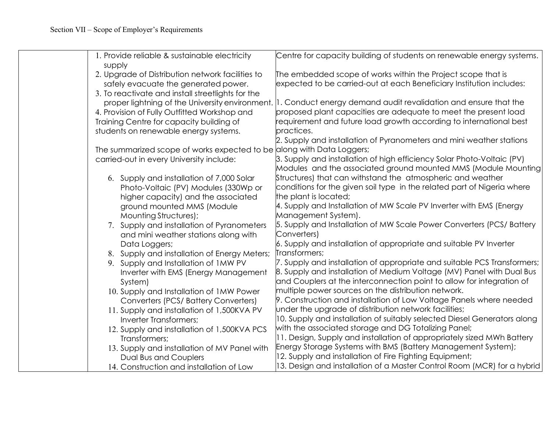| 1. Provide reliable & sustainable electricity                         | Centre for capacity building of students on renewable energy systems.                                                            |
|-----------------------------------------------------------------------|----------------------------------------------------------------------------------------------------------------------------------|
| supply                                                                |                                                                                                                                  |
| 2. Upgrade of Distribution network facilities to                      | The embedded scope of works within the Project scope that is                                                                     |
| safely evacuate the generated power.                                  | expected to be carried-out at each Beneficiary Institution includes:                                                             |
| 3. To reactivate and install streetlights for the                     |                                                                                                                                  |
|                                                                       | proper lightning of the University environment.   1. Conduct energy demand audit revalidation and ensure that the                |
| 4. Provision of Fully Outfitted Workshop and                          | proposed plant capacities are adequate to meet the present load                                                                  |
| Training Centre for capacity building of                              | requirement and future load growth according to international best                                                               |
| students on renewable energy systems.                                 | practices.                                                                                                                       |
|                                                                       | 2. Supply and installation of Pyranometers and mini weather stations                                                             |
| The summarized scope of works expected to be along with Data Loggers; |                                                                                                                                  |
| carried-out in every University include:                              | 3. Supply and installation of high efficiency Solar Photo-Voltaic (PV)                                                           |
|                                                                       | Modules and the associated ground mounted MMS (Module Mounting                                                                   |
| 6. Supply and installation of 7,000 Solar                             | Structures) that can withstand the atmospheric and weather                                                                       |
| Photo-Voltaic (PV) Modules (330Wp or                                  | conditions for the given soil type in the related part of Nigeria where                                                          |
| higher capacity) and the associated                                   | the plant is located;                                                                                                            |
| ground mounted MMS (Module                                            | 4. Supply and Installation of MW Scale PV Inverter with EMS (Energy                                                              |
| Mounting Structures);                                                 | Management System).                                                                                                              |
| 7. Supply and installation of Pyranometers                            | 5. Supply and Installation of MW Scale Power Converters (PCS/ Battery                                                            |
| and mini weather stations along with                                  | Converters)                                                                                                                      |
| Data Loggers;                                                         | 6. Supply and installation of appropriate and suitable PV Inverter                                                               |
| 8. Supply and installation of Energy Meters;                          | Transformers;                                                                                                                    |
| 9. Supply and Installation of 1MW PV                                  | 7. Supply and installation of appropriate and suitable PCS Transformers;                                                         |
| Inverter with EMS (Energy Management                                  | 8. Supply and installation of Medium Voltage (MV) Panel with Dual Bus                                                            |
| System)                                                               | and Couplers at the interconnection point to allow for integration of                                                            |
| 10. Supply and Installation of 1MW Power                              | multiple power sources on the distribution network.                                                                              |
| Converters (PCS/ Battery Converters)                                  | 9. Construction and installation of Low Voltage Panels where needed                                                              |
| 11. Supply and installation of 1,500KVA PV                            | under the upgrade of distribution network facilities;                                                                            |
| Inverter Transformers;                                                | 10. Supply and installation of suitably selected Diesel Generators along<br>with the associated storage and DG Totalizing Panel; |
| 12. Supply and installation of 1,500KVA PCS                           | 11. Design, Supply and installation of appropriately sized MWh Battery                                                           |
| Transformers;                                                         | Energy Storage Systems with BMS (Battery Management System);                                                                     |
| 13. Supply and installation of MV Panel with                          | 12. Supply and installation of Fire Fighting Equipment;                                                                          |
| <b>Dual Bus and Couplers</b>                                          | 13. Design and installation of a Master Control Room (MCR) for a hybrid                                                          |
| 14. Construction and installation of Low                              |                                                                                                                                  |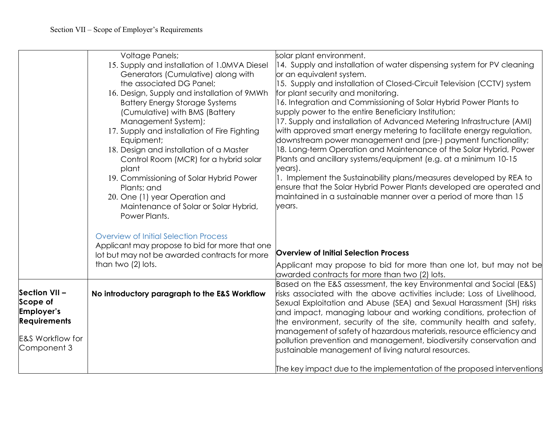|                             | <b>Voltage Panels;</b>                         | solar plant environment.                                                                                                                   |
|-----------------------------|------------------------------------------------|--------------------------------------------------------------------------------------------------------------------------------------------|
|                             | 15. Supply and installation of 1.0MVA Diesel   | 14. Supply and installation of water dispensing system for PV cleaning                                                                     |
|                             | Generators (Cumulative) along with             | or an equivalent system.                                                                                                                   |
|                             | the associated DG Panel;                       | 15. Supply and installation of Closed-Circuit Television (CCTV) system                                                                     |
|                             | 16. Design, Supply and installation of 9MWh    | for plant security and monitoring.                                                                                                         |
|                             | <b>Battery Energy Storage Systems</b>          | 16. Integration and Commissioning of Solar Hybrid Power Plants to                                                                          |
|                             | (Cumulative) with BMS (Battery                 | supply power to the entire Beneficiary Institution;                                                                                        |
|                             | Management System);                            | 17. Supply and installation of Advanced Metering Infrastructure (AMI)                                                                      |
|                             | 17. Supply and installation of Fire Fighting   | with approved smart energy metering to facilitate energy regulation,                                                                       |
|                             | Equipment;                                     | downstream power management and (pre-) payment functionality;                                                                              |
|                             | 18. Design and installation of a Master        | 18. Long-term Operation and Maintenance of the Solar Hybrid, Power<br>Plants and ancillary systems/equipment (e.g. at a minimum 10-15      |
|                             | Control Room (MCR) for a hybrid solar<br>plant | years).                                                                                                                                    |
|                             | 19. Commissioning of Solar Hybrid Power        | 1. Implement the Sustainability plans/measures developed by REA to                                                                         |
|                             | Plants; and                                    | ensure that the Solar Hybrid Power Plants developed are operated and                                                                       |
|                             | 20. One (1) year Operation and                 | maintained in a sustainable manner over a period of more than 15                                                                           |
|                             | Maintenance of Solar or Solar Hybrid,          | years.                                                                                                                                     |
|                             | Power Plants.                                  |                                                                                                                                            |
|                             |                                                |                                                                                                                                            |
|                             | <b>Overview of Initial Selection Process</b>   |                                                                                                                                            |
|                             | Applicant may propose to bid for more that one |                                                                                                                                            |
|                             | lot but may not be awarded contracts for more  | <b>Overview of Initial Selection Process</b>                                                                                               |
|                             | than two (2) lots.                             | Applicant may propose to bid for more than one lot, but may not be                                                                         |
|                             |                                                | awarded contracts for more than two (2) lots.                                                                                              |
|                             |                                                | Based on the E&S assessment, the key Environmental and Social (E&S)                                                                        |
| Section VII-                | No introductory paragraph to the E&S Workflow  | risks associated with the above activities include; Loss of Livelihood,                                                                    |
| Scope of                    |                                                | Sexual Exploitation and Abuse (SEA) and Sexual Harassment (SH) risks                                                                       |
| Employer's                  |                                                | and impact, managing labour and working conditions, protection of                                                                          |
| <b>Requirements</b>         |                                                | the environment, security of the site, community health and safety,                                                                        |
| <b>E&amp;S Workflow for</b> |                                                | management of safety of hazardous materials, resource efficiency and<br>pollution prevention and management, biodiversity conservation and |
| Component 3                 |                                                | sustainable management of living natural resources.                                                                                        |
|                             |                                                |                                                                                                                                            |
|                             |                                                | The key impact due to the implementation of the proposed interventions                                                                     |